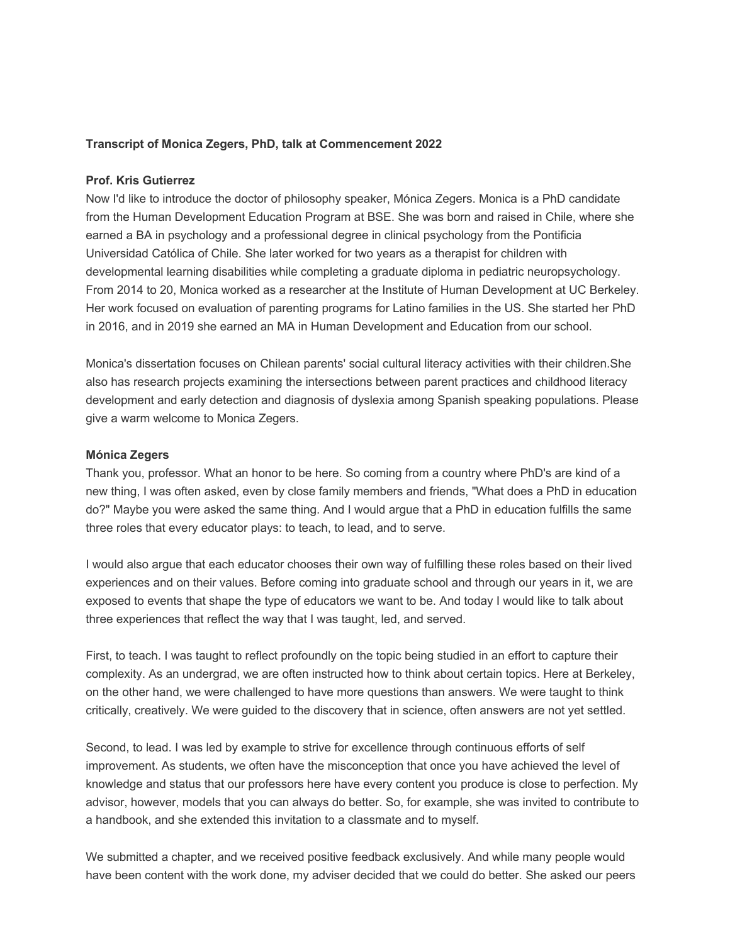## **Transcript of Monica Zegers, PhD, talk at Commencement 2022**

## **Prof. Kris Gutierrez**

Now I'd like to introduce the doctor of philosophy speaker, Mónica Zegers. Monica is a PhD candidate from the Human Development Education Program at BSE. She was born and raised in Chile, where she earned a BA in psychology and a professional degree in clinical psychology from the Pontificia Universidad Católica of Chile. She later worked for two years as a therapist for children with developmental learning disabilities while completing a graduate diploma in pediatric neuropsychology. From 2014 to 20, Monica worked as a researcher at the Institute of Human Development at UC Berkeley. Her work focused on evaluation of parenting programs for Latino families in the US. She started her PhD in 2016, and in 2019 she earned an MA in Human Development and Education from our school.

Monica's dissertation focuses on Chilean parents' social cultural literacy activities with their children.She also has research projects examining the intersections between parent practices and childhood literacy development and early detection and diagnosis of dyslexia among Spanish speaking populations. Please give a warm welcome to Monica Zegers.

## **Mónica Zegers**

Thank you, professor. What an honor to be here. So coming from a country where PhD's are kind of a new thing, I was often asked, even by close family members and friends, "What does a PhD in education do?" Maybe you were asked the same thing. And I would argue that a PhD in education fulfills the same three roles that every educator plays: to teach, to lead, and to serve.

I would also argue that each educator chooses their own way of fulfilling these roles based on their lived experiences and on their values. Before coming into graduate school and through our years in it, we are exposed to events that shape the type of educators we want to be. And today I would like to talk about three experiences that reflect the way that I was taught, led, and served.

First, to teach. I was taught to reflect profoundly on the topic being studied in an effort to capture their complexity. As an undergrad, we are often instructed how to think about certain topics. Here at Berkeley, on the other hand, we were challenged to have more questions than answers. We were taught to think critically, creatively. We were guided to the discovery that in science, often answers are not yet settled.

Second, to lead. I was led by example to strive for excellence through continuous efforts of self improvement. As students, we often have the misconception that once you have achieved the level of knowledge and status that our professors here have every content you produce is close to perfection. My advisor, however, models that you can always do better. So, for example, she was invited to contribute to a handbook, and she extended this invitation to a classmate and to myself.

We submitted a chapter, and we received positive feedback exclusively. And while many people would have been content with the work done, my adviser decided that we could do better. She asked our peers